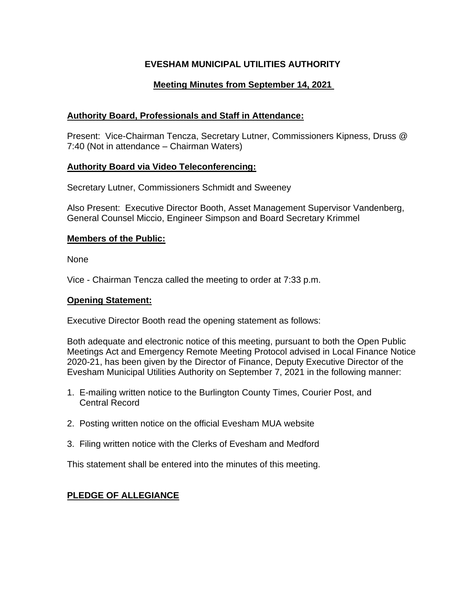## **EVESHAM MUNICIPAL UTILITIES AUTHORITY**

# **Meeting Minutes from September 14, 2021**

## **Authority Board, Professionals and Staff in Attendance:**

Present: Vice-Chairman Tencza, Secretary Lutner, Commissioners Kipness, Druss @ 7:40 (Not in attendance – Chairman Waters)

## **Authority Board via Video Teleconferencing:**

Secretary Lutner, Commissioners Schmidt and Sweeney

Also Present: Executive Director Booth, Asset Management Supervisor Vandenberg, General Counsel Miccio, Engineer Simpson and Board Secretary Krimmel

## **Members of the Public:**

None

Vice - Chairman Tencza called the meeting to order at 7:33 p.m.

## **Opening Statement:**

Executive Director Booth read the opening statement as follows:

Both adequate and electronic notice of this meeting, pursuant to both the Open Public Meetings Act and Emergency Remote Meeting Protocol advised in Local Finance Notice 2020-21, has been given by the Director of Finance, Deputy Executive Director of the Evesham Municipal Utilities Authority on September 7, 2021 in the following manner:

- 1. E-mailing written notice to the Burlington County Times, Courier Post, and Central Record
- 2. Posting written notice on the official Evesham MUA website
- 3. Filing written notice with the Clerks of Evesham and Medford

This statement shall be entered into the minutes of this meeting.

# **PLEDGE OF ALLEGIANCE**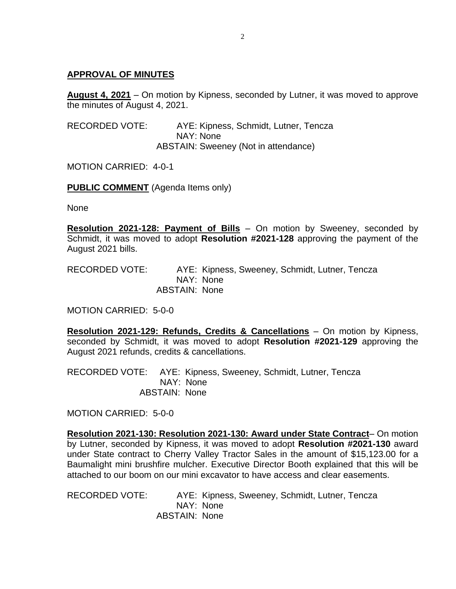#### **APPROVAL OF MINUTES**

**August 4, 2021** – On motion by Kipness, seconded by Lutner, it was moved to approve the minutes of August 4, 2021.

RECORDED VOTE: AYE: Kipness, Schmidt, Lutner, Tencza NAY: None ABSTAIN: Sweeney (Not in attendance)

MOTION CARRIED: 4-0-1

**PUBLIC COMMENT** (Agenda Items only)

None

**Resolution 2021-128: Payment of Bills** – On motion by Sweeney, seconded by Schmidt, it was moved to adopt **Resolution #2021-128** approving the payment of the August 2021 bills.

RECORDED VOTE: AYE: Kipness, Sweeney, Schmidt, Lutner, Tencza NAY: None ABSTAIN: None

MOTION CARRIED: 5-0-0

**Resolution 2021-129: Refunds, Credits & Cancellations** – On motion by Kipness, seconded by Schmidt, it was moved to adopt **Resolution #2021-129** approving the August 2021 refunds, credits & cancellations.

RECORDED VOTE: AYE: Kipness, Sweeney, Schmidt, Lutner, Tencza NAY: None ABSTAIN: None

MOTION CARRIED: 5-0-0

**Resolution 2021-130: Resolution 2021-130: Award under State Contract**– On motion by Lutner, seconded by Kipness, it was moved to adopt **Resolution #2021-130** award under State contract to Cherry Valley Tractor Sales in the amount of \$15,123.00 for a Baumalight mini brushfire mulcher. Executive Director Booth explained that this will be attached to our boom on our mini excavator to have access and clear easements.

RECORDED VOTE: AYE: Kipness, Sweeney, Schmidt, Lutner, Tencza NAY: None ABSTAIN: None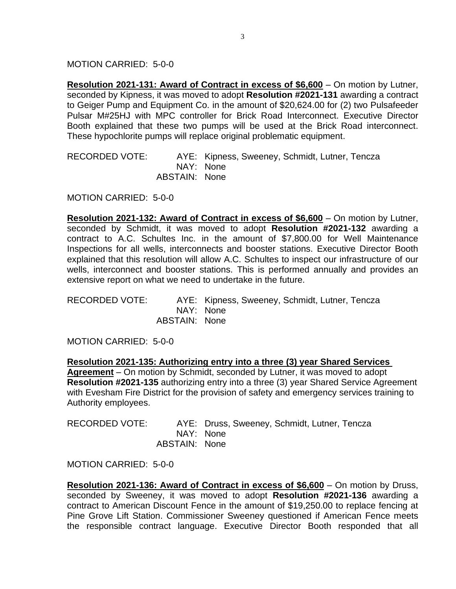MOTION CARRIED: 5-0-0

**Resolution 2021-131: Award of Contract in excess of \$6,600** – On motion by Lutner, seconded by Kipness, it was moved to adopt **Resolution #2021-131** awarding a contract to Geiger Pump and Equipment Co. in the amount of \$20,624.00 for (2) two Pulsafeeder Pulsar M#25HJ with MPC controller for Brick Road Interconnect. Executive Director Booth explained that these two pumps will be used at the Brick Road interconnect. These hypochlorite pumps will replace original problematic equipment.

RECORDED VOTE: AYE: Kipness, Sweeney, Schmidt, Lutner, Tencza NAY: None ABSTAIN: None

MOTION CARRIED: 5-0-0

**Resolution 2021-132: Award of Contract in excess of \$6,600** – On motion by Lutner, seconded by Schmidt, it was moved to adopt **Resolution #2021-132** awarding a contract to A.C. Schultes Inc. in the amount of \$7,800.00 for Well Maintenance Inspections for all wells, interconnects and booster stations. Executive Director Booth explained that this resolution will allow A.C. Schultes to inspect our infrastructure of our wells, interconnect and booster stations. This is performed annually and provides an extensive report on what we need to undertake in the future.

RECORDED VOTE: AYE: Kipness, Sweeney, Schmidt, Lutner, Tencza NAY: None ABSTAIN: None

MOTION CARRIED: 5-0-0

**Resolution 2021-135: Authorizing entry into a three (3) year Shared Services Agreement** – On motion by Schmidt, seconded by Lutner, it was moved to adopt **Resolution #2021-135** authorizing entry into a three (3) year Shared Service Agreement with Evesham Fire District for the provision of safety and emergency services training to Authority employees.

| <b>RECORDED VOTE:</b> |               | AYE: Druss, Sweeney, Schmidt, Lutner, Tencza |
|-----------------------|---------------|----------------------------------------------|
|                       |               | NAY: None                                    |
|                       | ABSTAIN: None |                                              |

MOTION CARRIED: 5-0-0

**Resolution 2021-136: Award of Contract in excess of \$6,600** – On motion by Druss, seconded by Sweeney, it was moved to adopt **Resolution #2021-136** awarding a contract to American Discount Fence in the amount of \$19,250.00 to replace fencing at Pine Grove Lift Station. Commissioner Sweeney questioned if American Fence meets the responsible contract language. Executive Director Booth responded that all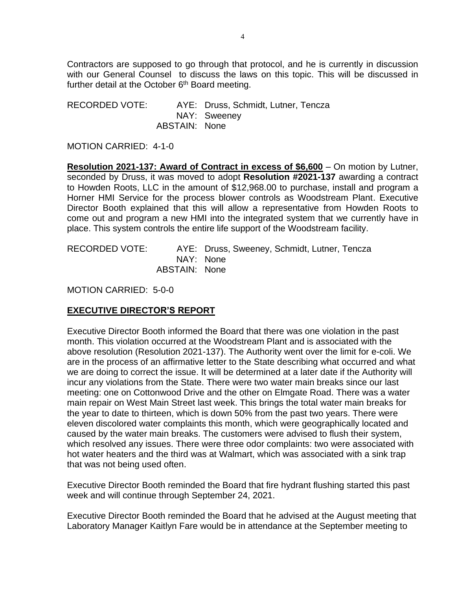Contractors are supposed to go through that protocol, and he is currently in discussion with our General Counsel to discuss the laws on this topic. This will be discussed in further detail at the October  $6<sup>th</sup>$  Board meeting.

RECORDED VOTE: AYE: Druss, Schmidt, Lutner, Tencza NAY: Sweeney ABSTAIN: None

MOTION CARRIED: 4-1-0

**Resolution 2021-137: Award of Contract in excess of \$6,600** – On motion by Lutner, seconded by Druss, it was moved to adopt **Resolution #2021-137** awarding a contract to Howden Roots, LLC in the amount of \$12,968.00 to purchase, install and program a Horner HMI Service for the process blower controls as Woodstream Plant. Executive Director Booth explained that this will allow a representative from Howden Roots to come out and program a new HMI into the integrated system that we currently have in place. This system controls the entire life support of the Woodstream facility.

RECORDED VOTE: AYE: Druss, Sweeney, Schmidt, Lutner, Tencza NAY: None ABSTAIN: None

MOTION CARRIED: 5-0-0

## **EXECUTIVE DIRECTOR'S REPORT**

Executive Director Booth informed the Board that there was one violation in the past month. This violation occurred at the Woodstream Plant and is associated with the above resolution (Resolution 2021-137). The Authority went over the limit for e-coli. We are in the process of an affirmative letter to the State describing what occurred and what we are doing to correct the issue. It will be determined at a later date if the Authority will incur any violations from the State. There were two water main breaks since our last meeting: one on Cottonwood Drive and the other on Elmgate Road. There was a water main repair on West Main Street last week. This brings the total water main breaks for the year to date to thirteen, which is down 50% from the past two years. There were eleven discolored water complaints this month, which were geographically located and caused by the water main breaks. The customers were advised to flush their system, which resolved any issues. There were three odor complaints: two were associated with hot water heaters and the third was at Walmart, which was associated with a sink trap that was not being used often.

Executive Director Booth reminded the Board that fire hydrant flushing started this past week and will continue through September 24, 2021.

Executive Director Booth reminded the Board that he advised at the August meeting that Laboratory Manager Kaitlyn Fare would be in attendance at the September meeting to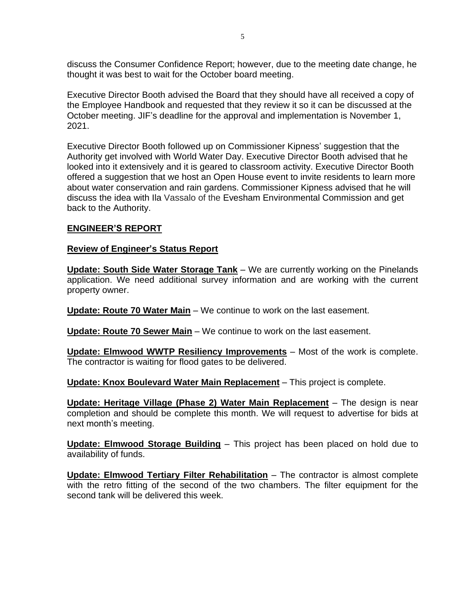discuss the Consumer Confidence Report; however, due to the meeting date change, he thought it was best to wait for the October board meeting.

Executive Director Booth advised the Board that they should have all received a copy of the Employee Handbook and requested that they review it so it can be discussed at the October meeting. JIF's deadline for the approval and implementation is November 1, 2021.

Executive Director Booth followed up on Commissioner Kipness' suggestion that the Authority get involved with World Water Day. Executive Director Booth advised that he looked into it extensively and it is geared to classroom activity. Executive Director Booth offered a suggestion that we host an Open House event to invite residents to learn more about water conservation and rain gardens. Commissioner Kipness advised that he will discuss the idea with Ila Vassalo of the Evesham Environmental Commission and get back to the Authority.

## **ENGINEER'S REPORT**

## **Review of Engineer's Status Report**

**Update: South Side Water Storage Tank** – We are currently working on the Pinelands application. We need additional survey information and are working with the current property owner.

**Update: Route 70 Water Main** – We continue to work on the last easement.

**Update: Route 70 Sewer Main** – We continue to work on the last easement.

**Update: Elmwood WWTP Resiliency Improvements** – Most of the work is complete. The contractor is waiting for flood gates to be delivered.

**Update: Knox Boulevard Water Main Replacement** – This project is complete.

**Update: Heritage Village (Phase 2) Water Main Replacement** – The design is near completion and should be complete this month. We will request to advertise for bids at next month's meeting.

**Update: Elmwood Storage Building** – This project has been placed on hold due to availability of funds.

**Update: Elmwood Tertiary Filter Rehabilitation** – The contractor is almost complete with the retro fitting of the second of the two chambers. The filter equipment for the second tank will be delivered this week.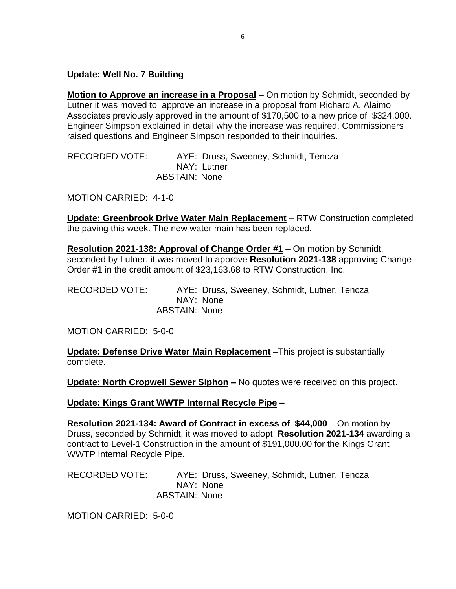**Update: Well No. 7 Building** –

**Motion to Approve an increase in a Proposal** – On motion by Schmidt, seconded by Lutner it was moved to approve an increase in a proposal from Richard A. Alaimo Associates previously approved in the amount of \$170,500 to a new price of \$324,000. Engineer Simpson explained in detail why the increase was required. Commissioners raised questions and Engineer Simpson responded to their inquiries.

RECORDED VOTE: AYE: Druss, Sweeney, Schmidt, Tencza NAY: Lutner ABSTAIN: None

MOTION CARRIED: 4-1-0

**Update: Greenbrook Drive Water Main Replacement** – RTW Construction completed the paving this week. The new water main has been replaced.

**Resolution 2021-138: Approval of Change Order #1** – On motion by Schmidt, seconded by Lutner, it was moved to approve **Resolution 2021-138** approving Change Order #1 in the credit amount of \$23,163.68 to RTW Construction, Inc.

RECORDED VOTE: AYE: Druss, Sweeney, Schmidt, Lutner, Tencza NAY: None ABSTAIN: None

MOTION CARRIED: 5-0-0

**Update: Defense Drive Water Main Replacement** –This project is substantially complete.

**Update: North Cropwell Sewer Siphon –** No quotes were received on this project.

**Update: Kings Grant WWTP Internal Recycle Pipe –**

**Resolution 2021-134: Award of Contract in excess of \$44,000** – On motion by Druss, seconded by Schmidt, it was moved to adopt **Resolution 2021-134** awarding a contract to Level-1 Construction in the amount of \$191,000.00 for the Kings Grant WWTP Internal Recycle Pipe.

RECORDED VOTE: AYE: Druss, Sweeney, Schmidt, Lutner, Tencza NAY: None ABSTAIN: None

MOTION CARRIED: 5-0-0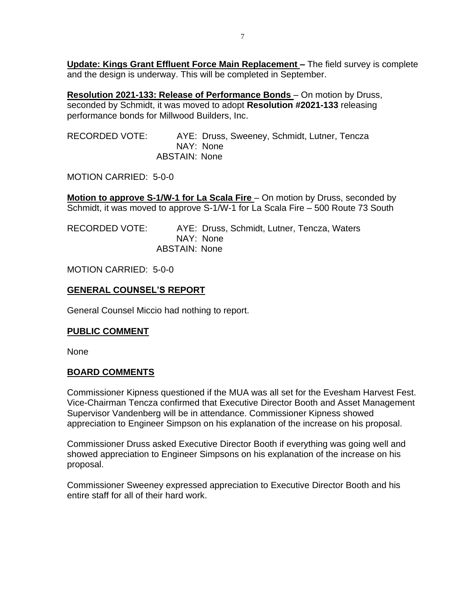**Update: Kings Grant Effluent Force Main Replacement –** The field survey is complete and the design is underway. This will be completed in September.

**Resolution 2021-133: Release of Performance Bonds** – On motion by Druss, seconded by Schmidt, it was moved to adopt **Resolution #2021-133** releasing performance bonds for Millwood Builders, Inc.

RECORDED VOTE: AYE: Druss, Sweeney, Schmidt, Lutner, Tencza NAY: None ABSTAIN: None

MOTION CARRIED: 5-0-0

**Motion to approve S-1/W-1 for La Scala Fire** – On motion by Druss, seconded by Schmidt, it was moved to approve S-1/W-1 for La Scala Fire – 500 Route 73 South

RECORDED VOTE: AYE: Druss, Schmidt, Lutner, Tencza, Waters NAY: None ABSTAIN: None

MOTION CARRIED: 5-0-0

## **GENERAL COUNSEL'S REPORT**

General Counsel Miccio had nothing to report.

## **PUBLIC COMMENT**

None

## **BOARD COMMENTS**

Commissioner Kipness questioned if the MUA was all set for the Evesham Harvest Fest. Vice-Chairman Tencza confirmed that Executive Director Booth and Asset Management Supervisor Vandenberg will be in attendance. Commissioner Kipness showed appreciation to Engineer Simpson on his explanation of the increase on his proposal.

Commissioner Druss asked Executive Director Booth if everything was going well and showed appreciation to Engineer Simpsons on his explanation of the increase on his proposal.

Commissioner Sweeney expressed appreciation to Executive Director Booth and his entire staff for all of their hard work.